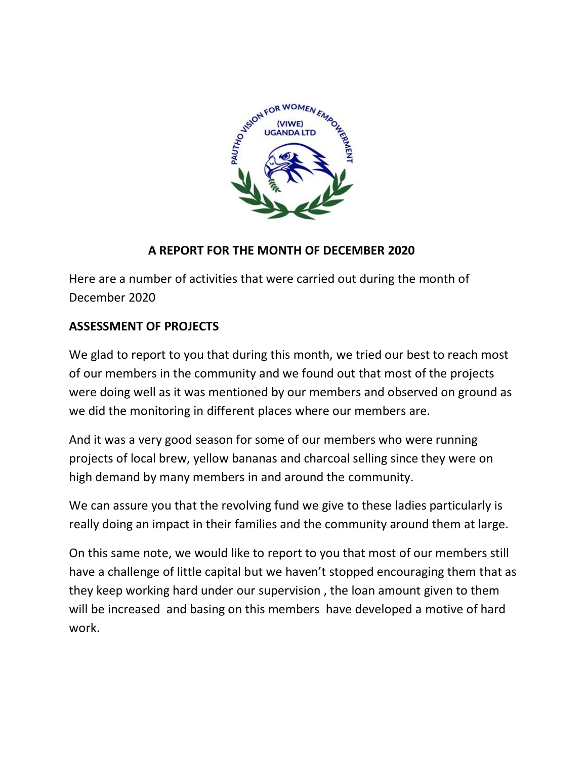

### **A REPORT FOR THE MONTH OF DECEMBER 2020**

Here are a number of activities that were carried out during the month of December 2020

# **ASSESSMENT OF PROJECTS**

We glad to report to you that during this month, we tried our best to reach most of our members in the community and we found out that most of the projects were doing well as it was mentioned by our members and observed on ground as we did the monitoring in different places where our members are.

And it was a very good season for some of our members who were running projects of local brew, yellow bananas and charcoal selling since they were on high demand by many members in and around the community.

We can assure you that the revolving fund we give to these ladies particularly is really doing an impact in their families and the community around them at large.

On this same note, we would like to report to you that most of our members still have a challenge of little capital but we haven't stopped encouraging them that as they keep working hard under our supervision , the loan amount given to them will be increased and basing on this members have developed a motive of hard work.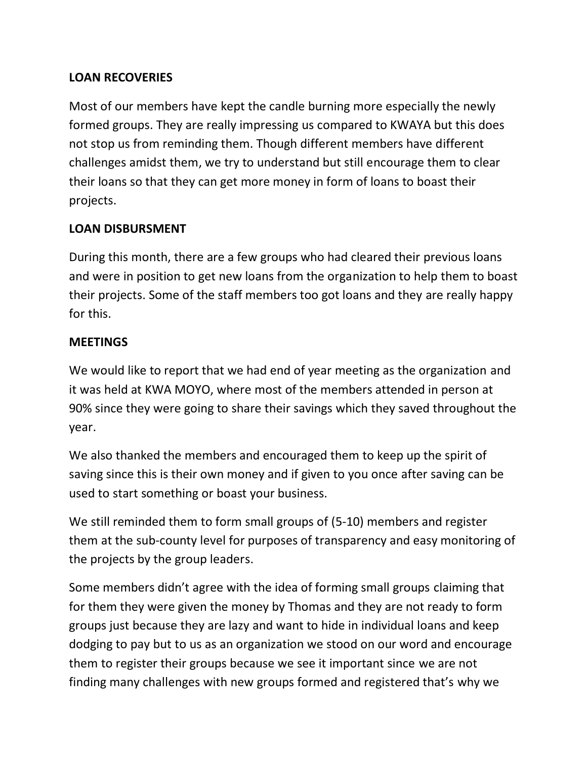# **LOAN RECOVERIES**

Most of our members have kept the candle burning more especially the newly formed groups. They are really impressing us compared to KWAYA but this does not stop us from reminding them. Though different members have different challenges amidst them, we try to understand but still encourage them to clear their loans so that they can get more money in form of loans to boast their projects.

### **LOAN DISBURSMENT**

During this month, there are a few groups who had cleared their previous loans and were in position to get new loans from the organization to help them to boast their projects. Some of the staff members too got loans and they are really happy for this.

#### **MEETINGS**

We would like to report that we had end of year meeting as the organization and it was held at KWA MOYO, where most of the members attended in person at 90% since they were going to share their savings which they saved throughout the year.

We also thanked the members and encouraged them to keep up the spirit of saving since this is their own money and if given to you once after saving can be used to start something or boast your business.

We still reminded them to form small groups of (5-10) members and register them at the sub-county level for purposes of transparency and easy monitoring of the projects by the group leaders.

Some members didn't agree with the idea of forming small groups claiming that for them they were given the money by Thomas and they are not ready to form groups just because they are lazy and want to hide in individual loans and keep dodging to pay but to us as an organization we stood on our word and encourage them to register their groups because we see it important since we are not finding many challenges with new groups formed and registered that's why we